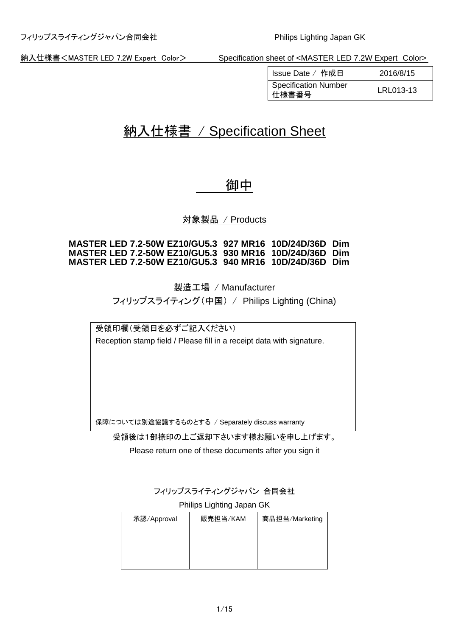| Issue Date / 作成日                     | 2016/8/15 |
|--------------------------------------|-----------|
| <b>Specification Number</b><br>仕様書番号 | LRL013-13 |

# 納入仕様書 / Specification Sheet

# 御中

対象製品 / Products

### **MASTER LED 7.2-50W EZ10/GU5.3 927 MR16 10D/24D/36D Dim MASTER LED 7.2-50W EZ10/GU5.3 930 MR16 10D/24D/36D Dim MASTER LED 7.2-50W EZ10/GU5.3 940 MR16 10D/24D/36D Dim**

製造工場 / Manufacturer

フィリップスライティング(中国) / Philips Lighting (China)

受領印欄(受領日を必ずご記入ください) Reception stamp field / Please fill in a receipt data with signature.

保障については別途協議するものとする / Separately discuss warranty

受領後は1部捺印の上ご返却下さいます様お願いを申し上げます。

Please return one of these documents after you sign it

フィリップスライティングジャパン 合同会社

### Philips Lighting Japan GK

| 承認/Approval | 販売担当/KAM | 商品担当/Marketing |
|-------------|----------|----------------|
|             |          |                |
|             |          |                |
|             |          |                |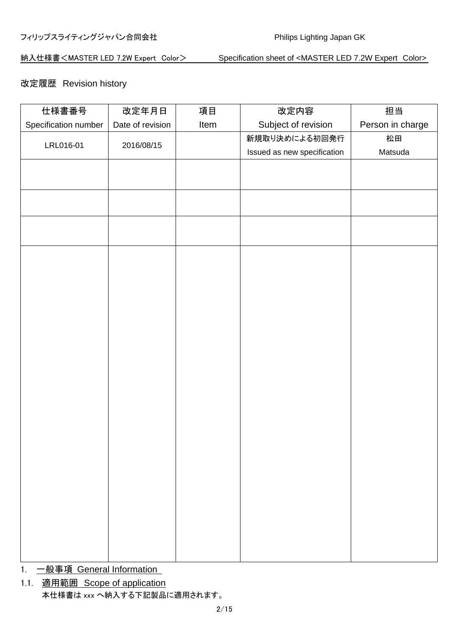# 改定履歴 Revision history

| 仕様書番号                | 改定年月日            | 項目   | 改定内容                        | 担当               |
|----------------------|------------------|------|-----------------------------|------------------|
| Specification number | Date of revision | Item | Subject of revision         | Person in charge |
|                      |                  |      | 新規取り決めによる初回発行               | 松田               |
| LRL016-01            | 2016/08/15       |      | Issued as new specification | Matsuda          |
|                      |                  |      |                             |                  |
|                      |                  |      |                             |                  |
|                      |                  |      |                             |                  |
|                      |                  |      |                             |                  |
|                      |                  |      |                             |                  |
|                      |                  |      |                             |                  |
|                      |                  |      |                             |                  |
|                      |                  |      |                             |                  |
|                      |                  |      |                             |                  |
|                      |                  |      |                             |                  |
|                      |                  |      |                             |                  |
|                      |                  |      |                             |                  |
|                      |                  |      |                             |                  |
|                      |                  |      |                             |                  |
|                      |                  |      |                             |                  |
|                      |                  |      |                             |                  |
|                      |                  |      |                             |                  |
|                      |                  |      |                             |                  |
|                      |                  |      |                             |                  |
|                      |                  |      |                             |                  |
|                      |                  |      |                             |                  |
|                      |                  |      |                             |                  |
|                      |                  |      |                             |                  |
|                      |                  |      |                             |                  |
|                      |                  |      |                             |                  |
|                      |                  |      |                             |                  |
|                      |                  |      |                             |                  |
|                      |                  |      |                             |                  |
|                      |                  |      |                             |                  |

- 1. 一般事項 General Information
- 1.1. 適用範囲 Scope of application 本仕様書は xxx へ納入する下記製品に適用されます。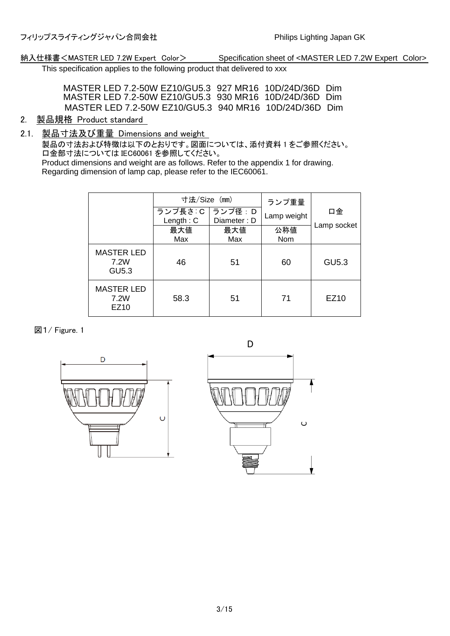This specification applies to the following product that delivered to xxx

MASTER LED 7.2-50W EZ10/GU5.3 927 MR16 10D/24D/36D Dim MASTER LED 7.2-50W EZ10/GU5.3 930 MR16 10D/24D/36D Dim MASTER LED 7.2-50W EZ10/GU5.3 940 MR16 10D/24D/36D Dim

- 2. 製品規格 Product standard
- 2.1. 製品寸法及び重量 Dimensions and weight

製品の寸法および特徴は以下のとおりです。図面については、添付資料 1 をご参照ください。 口金部寸法については IEC60061 を参照してください。 Product dimensions and weight are as follows. Refer to the appendix 1 for drawing.

Regarding dimension of lamp cap, please refer to the IEC60061.

|                                           | 寸法/Size (mm)<br>ランプ長さ: C   ランプ径: D<br>Length: $C$<br>最大値<br>Max | Diameter: D<br>最大値<br>Max | ランプ重量<br>Lamp weight<br>公称値<br>Nom | 口金<br>Lamp socket |
|-------------------------------------------|-----------------------------------------------------------------|---------------------------|------------------------------------|-------------------|
| <b>MASTER LED</b><br>7.2W<br><b>GU5.3</b> | 46                                                              | 51                        | 60                                 | GU5.3             |
| <b>MASTER LED</b><br>7.2W<br>EZ10         | 58.3                                                            | 51                        | 71                                 | EZ10              |

### 図1/ Figure. 1

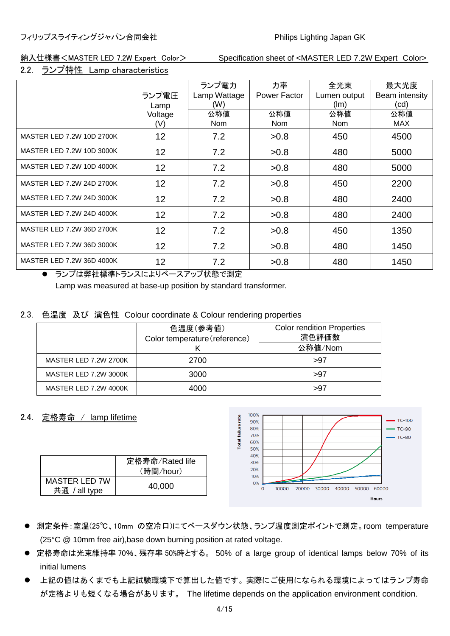### 2.2. ランプ特性 Lamp characteristics

|                                                                              |         | ランプ電力          | 力率           | 全光束          | 最大光度           |
|------------------------------------------------------------------------------|---------|----------------|--------------|--------------|----------------|
|                                                                              | ランプ電圧   | Lamp Wattage   | Power Factor | Lumen output | Beam intensity |
|                                                                              | Lamp    | (W)            |              | (lm)         | (cd)           |
|                                                                              | Voltage | 公称値            | 公称値          | 公称値          | 公称値            |
|                                                                              | (V)     | Nom            | Nom          | <b>Nom</b>   | <b>MAX</b>     |
| MASTER LED 7.2W 10D 2700K                                                    | 12      | 7.2            | >0.8         | 450          | 4500           |
| MASTER LED 7.2W 10D 3000K                                                    | 12      | 7.2            | >0.8         | 480          | 5000           |
| MASTER LED 7.2W 10D 4000K                                                    | 12      | 7.2            | >0.8         | 480          | 5000           |
| MASTER LED 7.2W 24D 2700K                                                    | 12      | 7.2            | >0.8         | 450          | 2200           |
| MASTER LED 7.2W 24D 3000K                                                    | 12      | 7.2            | >0.8         | 480          | 2400           |
| MASTER LED 7.2W 24D 4000K                                                    | 12      | 7.2            | >0.8         | 480          | 2400           |
| MASTER LED 7.2W 36D 2700K                                                    | 12      | 7.2            | >0.8         | 450          | 1350           |
| MASTER LED 7.2W 36D 3000K                                                    | 12      | 7.2            | >0.8         | 480          | 1450           |
| MASTER LED 7.2W 36D 4000K<br>$0.1 \, \mathrm{MeV}$ $\pm 1.1 \, \mathrm{meV}$ | 12      | 7.2<br>$0 + k$ | >0.8         | 480          | 1450           |

⚫ ランプは弊社標準トランスによりベースアップ状態で測定 Lamp was measured at base-up position by standard transformer.

## 2.3. 色温度 及び 演色性 Colour coordinate & Colour rendering properties

|                              | 色温度(参考値)<br>Color temperature (reference) | <b>Color rendition Properties</b><br>演色評価数 |
|------------------------------|-------------------------------------------|--------------------------------------------|
|                              |                                           | 公称值/Nom                                    |
| <b>MASTER LED 7.2W 2700K</b> | 2700                                      | >97                                        |
| MASTER LED 7.2W 3000K        | 3000                                      | >97                                        |
| MASTER LED 7.2W 4000K        | 4000                                      | >97                                        |

### 2.4. 定格寿命 / lamp lifetime

|                                       | 定格寿命/Rated life |
|---------------------------------------|-----------------|
|                                       | (時間/hour)       |
| <b>MASTER LED 7W</b><br>共通 / all type | 40,000          |



- ⚫ 測定条件:室温(25℃、10mm の空冷口)にてベースダウン状態、ランプ温度測定ポイントで測定。room temperature (25°C @ 10mm free air),base down burning position at rated voltage.
- 定格寿命は光束維持率 70%、残存率 50%時とする。 50% of a large group of identical lamps below 70% of its initial lumens
- ⚫ 上記の値はあくまでも上記試験環境下で算出した値です。実際にご使用になられる環境によってはランプ寿命 が定格よりも短くなる場合があります。 The lifetime depends on the application environment condition.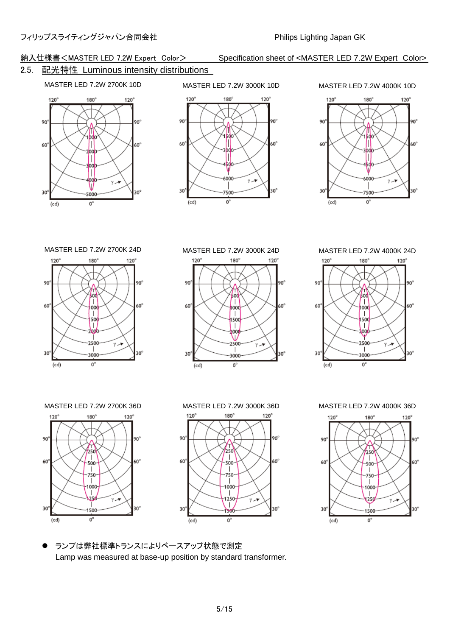# 2.5. 配光特性 Luminous intensity distributions

# MASTER LED 7.2W 2700K 10D MASTER LED 7.2W 3000K 10D MASTER LED 7.2W 4000K 10D







 $120^\circ$  $180^\circ$  $120^{\circ}$ 90° 90 fod  $\int_{\text{0.00}}$ 60° 60°  $\overline{1}$ 500 T አት

2500

3000

 $\alpha$ 

30

 $(cd)$ 

 $(cd)$ 

.<br>γ. <del>γ</del>

 $30^\circ$ 





 $120^\circ$  $180^\circ$  $120<sup>o</sup>$  $90^\circ$ 90° Â |<br>-500 60°  $60^\circ$  $\overline{1}$ 750  $\mathsf{I}$ 1000  $\overline{1}$ ري. .<br>γ.₩  $30^\circ$  $30<sup>°</sup>$ 1500

 $0^{\circ}$ 





⚫ ランプは弊社標準トランスによりベースアップ状態で測定 Lamp was measured at base-up position by standard transformer.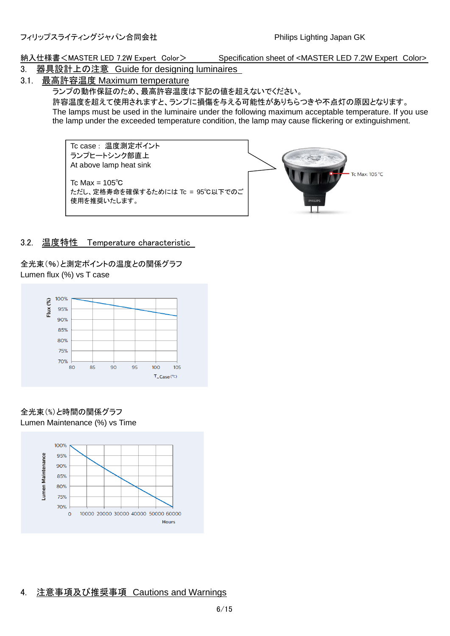- 3. 器具設計上の注意 Guide for designing luminaires
- 3.1. 最高許容温度 Maximum temperature

ランプの動作保証のため、最高許容温度は下記の値を超えないでください。

許容温度を超えて使用されますと、ランプに損傷を与える可能性がありちらつきや不点灯の原因となります。 The lamps must be used in the luminaire under the following maximum acceptable temperature. If you use the lamp under the exceeded temperature condition, the lamp may cause flickering or extinguishment.

Tc case : 温度測定ポイント ランプヒートシンク部直上 At above lamp heat sink

Tc Max =  $105^{\circ}$ C ただし、定格寿命を確保するためには Tc = 95℃以下でのご 使用を推奨いたします。



# 3.2. 温度特性 Temperature characteristic

全光束(%)と測定ポイントの温度との関係グラフ Lumen flux (%) vs T case



全光束(%)と時間の関係グラフ Lumen Maintenance (%) vs Time



# 4. 注意事項及び推奨事項 Cautions and Warnings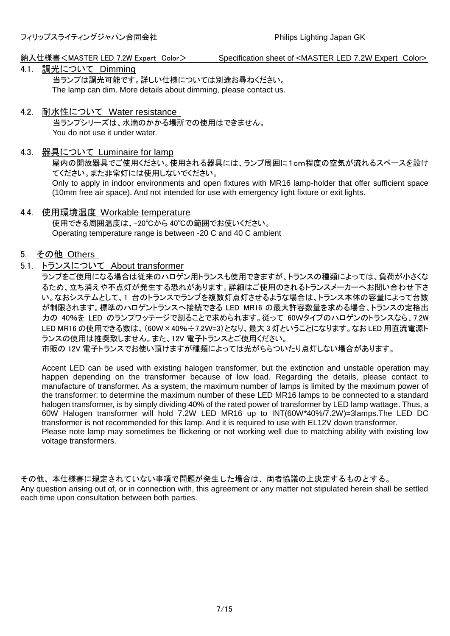# 4.1. 調光について Dimming

当ランプは調光可能です。詳しい仕様については別途お尋ねください。 The lamp can dim. More details about dimming, please contact us.

# 4.2. 耐水性について Water resistance

当ランプシリーズは、水滴のかかる場所での使用はできません。 You do not use it under water.

### 4.3. 器具について Luminaire for lamp

屋内の開放器具でご使用ください。使用される器具には、ランプ周囲に1cm程度の空気が流れるスペースを設け てください。また非常灯には使用しないでください。

Only to apply in indoor environments and open fixtures with MR16 lamp-holder that offer sufficient space (10mm free air space). And not intended for use with emergency light fixture or exit lights.

### 4.4. 使用環境温度 Workable temperature

使用できる周囲温度は、-20℃から 40℃の範囲でお使いください。 Operating temperature range is between -20 C and 40 C ambient

# 5. その他 Others

### 5.1. トランスについて About transformer

ランプをご使用になる場合は従来のハロゲン用トランスも使用できますが、トランスの種類によっては、負荷が小さくな るため、立ち消えや不点灯が発生する恐れがあります。詳細はご使用のされるトランスメーカーへお問い合わせ下さ い。なおシステムとして、1 台のトランスでランプを複数灯点灯させるような場合は、トランス本体の容量によって台数 が制限されます。標準のハロゲントランスへ接続できる LED MR16 の最大許容数量を求める場合、トランスの定格出 力の 40%を LED のランプワッテージで割ることで求められます。従って 60Wタイプのハロゲンのトランスなら、7.2W LED MR16 の使用できる数は、(60W×40%÷7.2W=3)となり、最大 3 灯ということになります。なお LED 用直流電源ト ランスの使用は推奨致しません。また、12V 電子トランスとご使用ください。

市販の 12V 電子トランスでお使い頂けますが種類によっては光がちらついたり点灯しない場合があります。

Accent LED can be used with existing halogen transformer, but the extinction and unstable operation may happen depending on the transformer because of low load. Regarding the details, please contact to manufacture of transformer. As a system, the maximum number of lamps is limited by the maximum power of the transformer: to determine the maximum number of these LED MR16 lamps to be connected to a standard halogen transformer, is by simply dividing 40% of the rated power of transformer by LED lamp wattage. Thus, a 60W Halogen transformer will hold 7.2W LED MR16 up to INT(60W\*40%/7.2W)=3lamps.The LED DC transformer is not recommended for this lamp. And it is required to use with EL12V down transformer. Please note lamp may sometimes be flickering or not working well due to matching ability with existing low voltage transformers.

その他、本仕様書に規定されていない事項で問題が発生した場合は、両者協議の上決定するものとする。 Any question arising out of, or in connection with, this agreement or any matter not stipulated herein shall be settled each time upon consultation between both parties.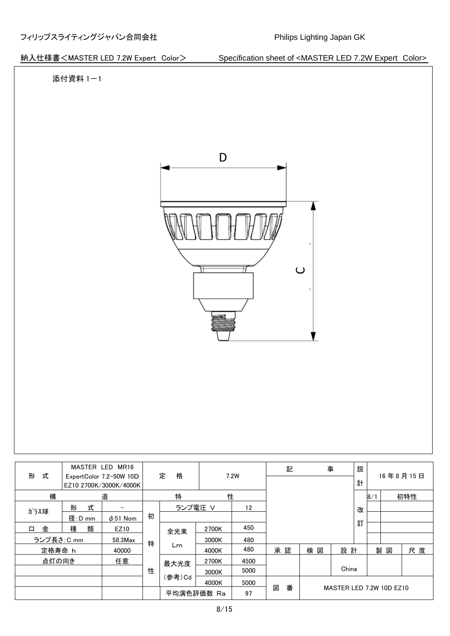

|             |        | MASTER LED MR16                                   |   |            |       |      | 記      | 事  |                          | 設 |     |    |          |
|-------------|--------|---------------------------------------------------|---|------------|-------|------|--------|----|--------------------------|---|-----|----|----------|
| 式<br>形      |        | ExpertColor 7.2-50W 10D<br>EZ10 2700K/3000K/4000K |   | 格<br>定     | 7.2W  |      |        |    |                          | 計 |     |    | 16年8月15日 |
| 構<br>造      |        |                                                   | 特 |            | 性     |      |        |    |                          |   | 8/1 |    | 初特性      |
| ガラス球        | 式<br>形 |                                                   |   | ランプ電圧 V    |       | 12   |        |    |                          | 改 |     |    |          |
|             | 径:D mm | $\phi$ 51 Nom                                     | 初 |            |       |      |        |    |                          |   |     |    |          |
| 金<br>口      | 種<br>類 | EZ10                                              |   | 全光束        | 2700K | 450  |        |    |                          | 訂 |     |    |          |
| ランプ長さ: C mm |        | 58.3Max                                           | 特 |            | 3000K | 480  |        |    |                          |   |     |    |          |
| 定格寿命 h      |        | 40000                                             |   | Lm         | 4000K | 480  | 承認     | 検図 | 設 計                      |   |     | 製図 | 尺度       |
| 点灯の向き       |        | 任意                                                |   | 最大光度       | 2700K | 4500 |        |    |                          |   |     |    |          |
|             |        |                                                   | 性 |            | 3000K | 5000 |        |    | China                    |   |     |    |          |
|             |        |                                                   |   | (参考)Cd     | 4000K | 5000 |        |    |                          |   |     |    |          |
|             |        |                                                   |   | 平均演色評価数 Ra |       | 97   | 番<br>図 |    | MASTER LED 7.2W 10D EZ10 |   |     |    |          |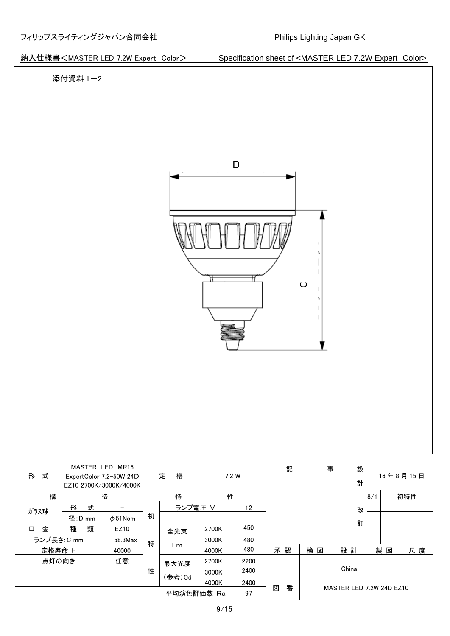

|             |                                                   | MASTER LED MR16 |   |            |       |       | 記      | 事   |                          | 設  |  |     |          |
|-------------|---------------------------------------------------|-----------------|---|------------|-------|-------|--------|-----|--------------------------|----|--|-----|----------|
| 式<br>形      | ExpertColor 7.2-50W 24D<br>EZ10 2700K/3000K/4000K |                 |   | 定<br>格     |       | 7.2 W |        |     |                          | 計  |  |     | 16年8月15日 |
| 構<br>造      |                                                   | 特               |   | 性          |       |       |        |     |                          | 8/ |  | 初特性 |          |
| ガラス球        | 式<br>形                                            |                 |   | ランプ電圧 V    |       | 12    |        |     |                          | 改  |  |     |          |
|             | 径:D mm                                            | $\phi$ 51Nom    | 初 |            |       |       |        |     |                          |    |  |     |          |
| 金<br>$\Box$ | 類<br>種                                            | EZ10            |   | 全光束        | 2700K | 450   |        |     |                          | 訂  |  |     |          |
| ランプ長さ: C mm |                                                   | 58.3Max         | 特 |            | 3000K | 480   |        |     |                          |    |  |     |          |
| 定格寿命 h      |                                                   | 40000           |   | Lm         | 4000K | 480   | 承認     | 検 図 | 設計                       |    |  | 製図  | 尺度       |
| 点灯の向き       |                                                   | 任意              |   | 最大光度       | 2700K | 2200  |        |     |                          |    |  |     |          |
|             |                                                   |                 | 性 |            | 3000K | 2400  |        |     | China                    |    |  |     |          |
|             |                                                   |                 |   | (参考)Cd     | 4000K | 2400  |        |     |                          |    |  |     |          |
|             |                                                   |                 |   | 平均演色評価数 Ra |       | 97    | 図<br>番 |     | MASTER LED 7.2W 24D EZ10 |    |  |     |          |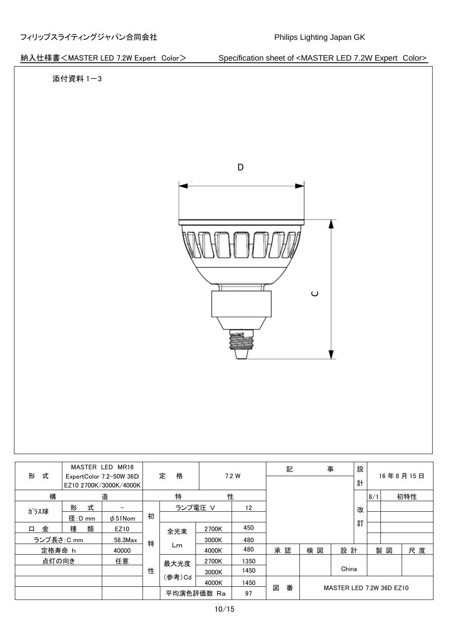

| 式           |                | MASTER LED MR16                                   |   | 格<br>定     |       | 7.2 W | 記      | 事  |                          | 設   |  |     | 16年8月15日 |
|-------------|----------------|---------------------------------------------------|---|------------|-------|-------|--------|----|--------------------------|-----|--|-----|----------|
| 形           |                | ExpertColor 7.2-50W 36D<br>EZ10 2700K/3000K/4000K |   |            |       |       |        |    |                          | 計   |  |     |          |
| 構<br>造      |                | 特                                                 |   | 性          |       |       |        |    |                          | 8/1 |  | 初特性 |          |
| ガラス球        | 式<br>形         |                                                   |   | ランプ電圧 V    |       | 12    |        |    |                          | 改   |  |     |          |
|             | 径: <u>D_mm</u> | $\phi$ 51Nom                                      | 初 |            |       |       |        |    |                          |     |  |     |          |
| 金<br>$\Box$ | 類<br>種         | EZ10                                              |   | 全光束        | 2700K | 450   |        |    |                          | 訂   |  |     |          |
| ランプ長さ: C mm |                | 58.3Max                                           | 特 |            | 3000K | 480   |        |    |                          |     |  |     |          |
| 定格寿命 h      |                | 40000                                             |   | Lm         | 4000K | 480   | 承認     | 検図 | 設計                       |     |  | 製図  | 尺度       |
| 点灯の向き       |                | 任意                                                |   | 最大光度       | 2700K | 1350  |        |    |                          |     |  |     |          |
|             |                |                                                   | 性 |            | 3000K | 1450  |        |    | China                    |     |  |     |          |
|             |                |                                                   |   | (参考)Cd     | 4000K | 1450  |        |    |                          |     |  |     |          |
|             |                |                                                   |   | 平均演色評価数 Ra |       | 97    | 図<br>番 |    | MASTER LED 7.2W 36D EZ10 |     |  |     |          |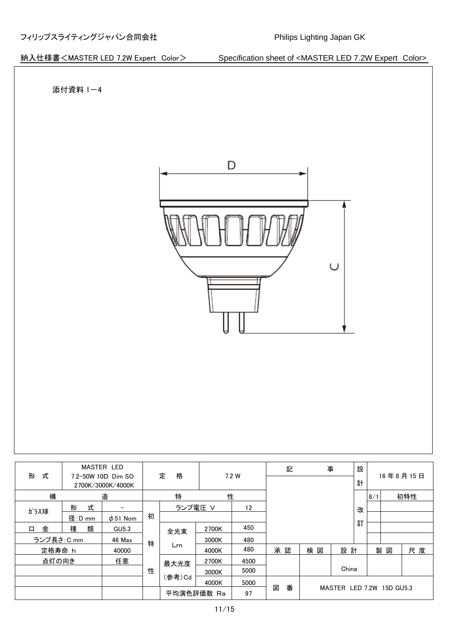

| 式<br>形                                  |        | <b>MASTER LED</b> |        |            |       |      |    | 記 | 事  |                           | 設 |     |   |          |
|-----------------------------------------|--------|-------------------|--------|------------|-------|------|----|---|----|---------------------------|---|-----|---|----------|
| 7.2-50W 10D Dim SO<br>2700K/3000K/4000K |        |                   |        | 定<br>格     | 7.2 W |      |    |   |    |                           | 計 |     |   | 16年8月15日 |
| 構<br>造                                  |        |                   | 特<br>性 |            |       |      |    |   |    |                           |   | 8/1 |   | 初特性      |
| ガラス球                                    | 式<br>形 |                   |        | ランプ電圧 V    |       | 12   |    |   |    |                           | 改 |     |   |          |
|                                         | 径:D mm | $\phi$ 51 Nom     | 初      |            |       |      |    |   |    |                           |   |     |   |          |
| 金<br>口                                  | 類<br>種 | GU5.3             |        | 全光束        | 2700K | 450  |    |   |    |                           | 訂 |     |   |          |
| ランプ長さ: C mm                             |        | 46 Max            | 特      |            | 3000K | 480  |    |   |    |                           |   |     |   |          |
| 定格寿命 h                                  |        | 40000             |        | Lm         | 4000K | 480  | 承認 |   | 検図 | 設 計                       |   | 製   | 図 | 尺度       |
| 点灯の向き                                   |        | 任意                |        | 最大光度       | 2700K | 4500 |    |   |    |                           |   |     |   |          |
|                                         |        |                   | 性      |            | 3000K | 5000 |    |   |    | China                     |   |     |   |          |
|                                         |        |                   |        | (参考)Cd     | 4000K | 5000 |    |   |    |                           |   |     |   |          |
|                                         |        |                   |        | 平均演色評価数 Ra |       | 97   | 図  | 番 |    | MASTER LED 7.2W 15D GU5.3 |   |     |   |          |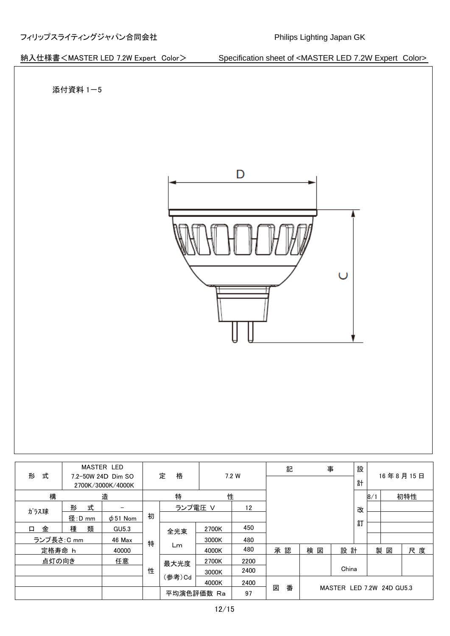

| 式<br>形      |        | <b>MASTER LED</b><br>7.2-50W 24D Dim SO |   | 定<br>格     |       |       | 記      | 事      |                           | 設 |              |    | 16年8月15日 |
|-------------|--------|-----------------------------------------|---|------------|-------|-------|--------|--------|---------------------------|---|--------------|----|----------|
|             |        | 2700K/3000K/4000K                       |   |            |       | 7.2 W |        |        |                           | 計 |              |    |          |
| 構<br>造      |        |                                         | 特 |            |       | 性     |        |        |                           |   | $\mathsf{B}$ |    | 初特性      |
| ガラス球        | 形<br>式 |                                         |   | ランプ電圧 V    |       | 12    |        |        |                           | 改 |              |    |          |
|             | 径:D mm | $\phi$ 51 Nom                           | 初 |            |       |       |        |        |                           |   |              |    |          |
| 金<br>$\Box$ | 種<br>類 | GU5.3                                   |   | 全光束        | 2700K | 450   |        |        |                           | 訂 |              |    |          |
| ランプ長さ: C mm |        | 46 Max                                  | 特 |            | 3000K | 480   |        |        |                           |   |              |    |          |
| 定格寿命 h      |        | 40000                                   |   | Lm         | 4000K | 480   | 承認     | 検<br>図 | 設計                        |   |              | 製図 | 尺度       |
| 点灯の向き       |        | 任意                                      |   | 最大光度       | 2700K | 2200  |        |        |                           |   |              |    |          |
|             |        |                                         | 性 |            | 3000K | 2400  |        |        | China                     |   |              |    |          |
|             |        |                                         |   | (参考)Cd     | 4000K | 2400  |        |        |                           |   |              |    |          |
|             |        |                                         |   | 平均演色評価数 Ra |       | 97    | 図<br>番 |        | MASTER LED 7.2W 24D GU5.3 |   |              |    |          |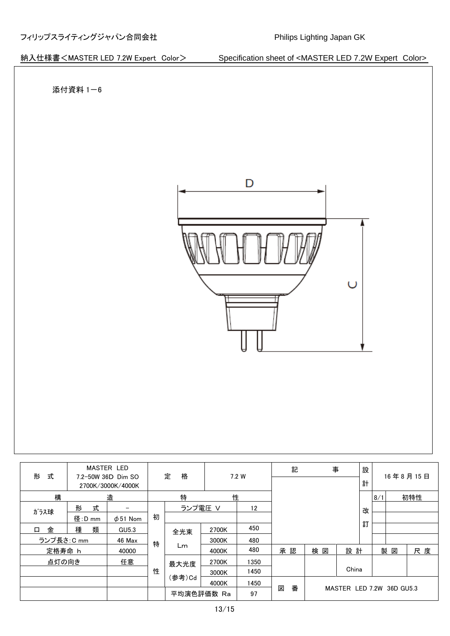

| 式                                            | <b>MASTER LED</b> |               | 格 |            | 7.2 W |      | 記      | 事                         |       | 設 |     |   | 16年8月15日 |
|----------------------------------------------|-------------------|---------------|---|------------|-------|------|--------|---------------------------|-------|---|-----|---|----------|
| 形<br>7.2-50W 36D Dim SO<br>2700K/3000K/4000K |                   | 定             |   |            |       |      |        |                           | 計     |   |     |   |          |
| 構<br>造                                       |                   |               | 特 |            | 性     |      |        |                           |       |   | 8/1 |   | 初特性      |
| ガラス球                                         | 式<br>形            |               | 初 | ランプ電圧 V    |       | 12   |        |                           |       | 改 |     |   |          |
|                                              | 径:D mm            | $\phi$ 51 Nom |   |            |       |      |        |                           |       |   |     |   |          |
| 金<br>$\Box$                                  | 種<br>類            | GU5.3         |   | 全光束        | 2700K | 450  |        |                           |       | 訂 |     |   |          |
| ランプ長さ: C mm                                  |                   | 46 Max        | 特 | Lm         | 3000K | 480  |        |                           |       |   |     |   |          |
| 定格寿命 h                                       |                   | 40000         |   |            | 4000K | 480  | 承認     | 検図                        | 設計    |   | 製   | 図 | 尺度       |
| 点灯の向き                                        |                   | 任意            |   | 最大光度       | 2700K | 1350 |        |                           |       |   |     |   |          |
|                                              |                   |               | 性 |            | 3000K | 1450 |        |                           | China |   |     |   |          |
|                                              |                   |               |   | (参考)Cd     | 4000K | 1450 |        |                           |       |   |     |   |          |
|                                              |                   |               |   | 平均演色評価数 Ra |       | 97   | 番<br>図 | MASTER LED 7.2W 36D GU5.3 |       |   |     |   |          |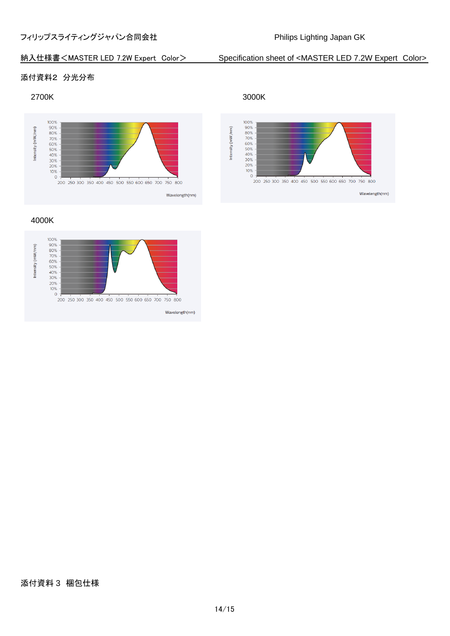# 添付資料2 分光分布

### 2700K 3000K



4000K